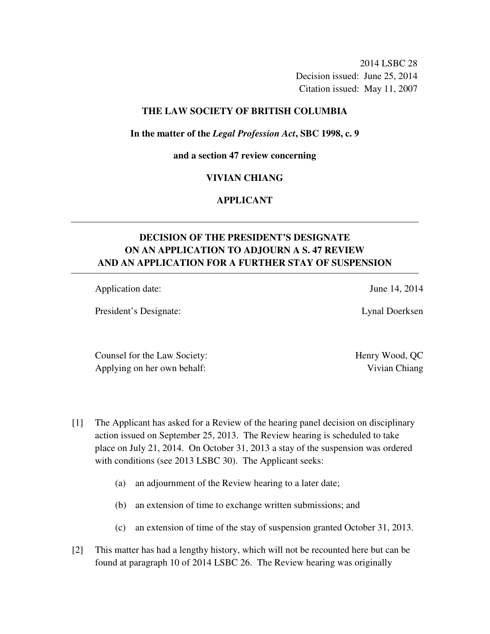2014 LSBC 28 Decision issued: June 25, 2014 Citation issued: May 11, 2007

## **THE LAW SOCIETY OF BRITISH COLUMBIA**

#### **In the matter of the** *Legal Profession Act***, SBC 1998, c. 9**

#### **and a section 47 review concerning**

### **VIVIAN CHIANG**

# **APPLICANT**

# **DECISION OF THE PRESIDENT'S DESIGNATE ON AN APPLICATION TO ADJOURN A S. 47 REVIEW AND AN APPLICATION FOR A FURTHER STAY OF SUSPENSION**

Application date: June 14, 2014

President's Designate: Lynal Doerksen

Counsel for the Law Society: Henry Wood, QC Applying on her own behalf: Vivian Chiang

- [1] The Applicant has asked for a Review of the hearing panel decision on disciplinary action issued on September 25, 2013. The Review hearing is scheduled to take place on July 21, 2014. On October 31, 2013 a stay of the suspension was ordered with conditions (see 2013 LSBC 30). The Applicant seeks:
	- (a) an adjournment of the Review hearing to a later date;
	- (b) an extension of time to exchange written submissions; and
	- (c) an extension of time of the stay of suspension granted October 31, 2013.
- [2] This matter has had a lengthy history, which will not be recounted here but can be found at paragraph 10 of 2014 LSBC 26. The Review hearing was originally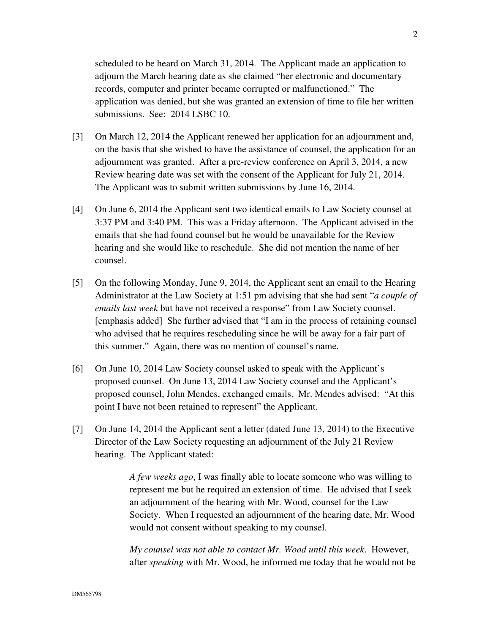scheduled to be heard on March 31, 2014. The Applicant made an application to adjourn the March hearing date as she claimed "her electronic and documentary records, computer and printer became corrupted or malfunctioned." The application was denied, but she was granted an extension of time to file her written submissions. See: 2014 LSBC 10.

- [3] On March 12, 2014 the Applicant renewed her application for an adjournment and, on the basis that she wished to have the assistance of counsel, the application for an adjournment was granted. After a pre-review conference on April 3, 2014, a new Review hearing date was set with the consent of the Applicant for July 21, 2014. The Applicant was to submit written submissions by June 16, 2014.
- [4] On June 6, 2014 the Applicant sent two identical emails to Law Society counsel at 3:37 PM and 3:40 PM. This was a Friday afternoon. The Applicant advised in the emails that she had found counsel but he would be unavailable for the Review hearing and she would like to reschedule. She did not mention the name of her counsel.
- [5] On the following Monday, June 9, 2014, the Applicant sent an email to the Hearing Administrator at the Law Society at 1:51 pm advising that she had sent "*a couple of emails last week* but have not received a response" from Law Society counsel. [emphasis added] She further advised that "I am in the process of retaining counsel who advised that he requires rescheduling since he will be away for a fair part of this summer." Again, there was no mention of counsel's name.
- [6] On June 10, 2014 Law Society counsel asked to speak with the Applicant's proposed counsel. On June 13, 2014 Law Society counsel and the Applicant's proposed counsel, John Mendes, exchanged emails. Mr. Mendes advised: "At this point I have not been retained to represent" the Applicant.
- [7] On June 14, 2014 the Applicant sent a letter (dated June 13, 2014) to the Executive Director of the Law Society requesting an adjournment of the July 21 Review hearing. The Applicant stated:

*A few weeks ago*, I was finally able to locate someone who was willing to represent me but he required an extension of time. He advised that I seek an adjournment of the hearing with Mr. Wood, counsel for the Law Society. When I requested an adjournment of the hearing date, Mr. Wood would not consent without speaking to my counsel.

*My counsel was not able to contact Mr. Wood until this week*. However, after *speaking* with Mr. Wood, he informed me today that he would not be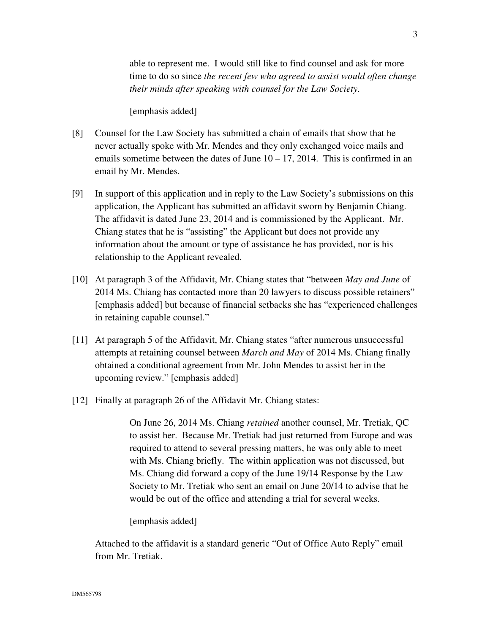able to represent me. I would still like to find counsel and ask for more time to do so since *the recent few who agreed to assist would often change their minds after speaking with counsel for the Law Society*.

[emphasis added]

- [8] Counsel for the Law Society has submitted a chain of emails that show that he never actually spoke with Mr. Mendes and they only exchanged voice mails and emails sometime between the dates of June  $10 - 17$ , 2014. This is confirmed in an email by Mr. Mendes.
- [9] In support of this application and in reply to the Law Society's submissions on this application, the Applicant has submitted an affidavit sworn by Benjamin Chiang. The affidavit is dated June 23, 2014 and is commissioned by the Applicant. Mr. Chiang states that he is "assisting" the Applicant but does not provide any information about the amount or type of assistance he has provided, nor is his relationship to the Applicant revealed.
- [10] At paragraph 3 of the Affidavit, Mr. Chiang states that "between *May and June* of 2014 Ms. Chiang has contacted more than 20 lawyers to discuss possible retainers" [emphasis added] but because of financial setbacks she has "experienced challenges in retaining capable counsel."
- [11] At paragraph 5 of the Affidavit, Mr. Chiang states "after numerous unsuccessful attempts at retaining counsel between *March and May* of 2014 Ms. Chiang finally obtained a conditional agreement from Mr. John Mendes to assist her in the upcoming review." [emphasis added]
- [12] Finally at paragraph 26 of the Affidavit Mr. Chiang states:

On June 26, 2014 Ms. Chiang *retained* another counsel, Mr. Tretiak, QC to assist her. Because Mr. Tretiak had just returned from Europe and was required to attend to several pressing matters, he was only able to meet with Ms. Chiang briefly. The within application was not discussed, but Ms. Chiang did forward a copy of the June 19/14 Response by the Law Society to Mr. Tretiak who sent an email on June 20/14 to advise that he would be out of the office and attending a trial for several weeks.

[emphasis added]

Attached to the affidavit is a standard generic "Out of Office Auto Reply" email from Mr. Tretiak.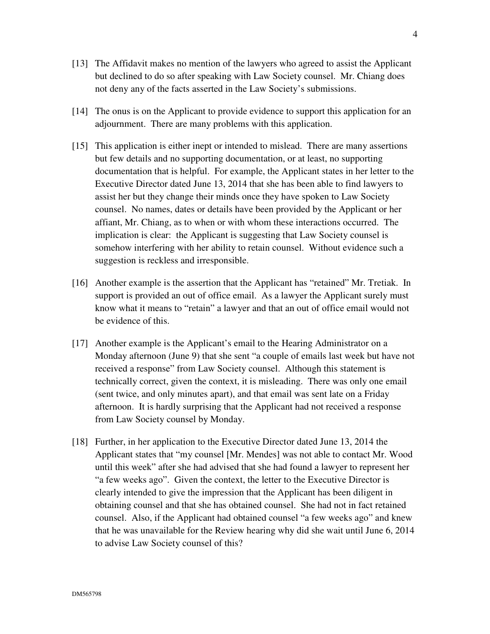- [13] The Affidavit makes no mention of the lawyers who agreed to assist the Applicant but declined to do so after speaking with Law Society counsel. Mr. Chiang does not deny any of the facts asserted in the Law Society's submissions.
- [14] The onus is on the Applicant to provide evidence to support this application for an adjournment. There are many problems with this application.
- [15] This application is either inept or intended to mislead. There are many assertions but few details and no supporting documentation, or at least, no supporting documentation that is helpful. For example, the Applicant states in her letter to the Executive Director dated June 13, 2014 that she has been able to find lawyers to assist her but they change their minds once they have spoken to Law Society counsel. No names, dates or details have been provided by the Applicant or her affiant, Mr. Chiang, as to when or with whom these interactions occurred. The implication is clear: the Applicant is suggesting that Law Society counsel is somehow interfering with her ability to retain counsel. Without evidence such a suggestion is reckless and irresponsible.
- [16] Another example is the assertion that the Applicant has "retained" Mr. Tretiak. In support is provided an out of office email. As a lawyer the Applicant surely must know what it means to "retain" a lawyer and that an out of office email would not be evidence of this.
- [17] Another example is the Applicant's email to the Hearing Administrator on a Monday afternoon (June 9) that she sent "a couple of emails last week but have not received a response" from Law Society counsel. Although this statement is technically correct, given the context, it is misleading. There was only one email (sent twice, and only minutes apart), and that email was sent late on a Friday afternoon. It is hardly surprising that the Applicant had not received a response from Law Society counsel by Monday.
- [18] Further, in her application to the Executive Director dated June 13, 2014 the Applicant states that "my counsel [Mr. Mendes] was not able to contact Mr. Wood until this week" after she had advised that she had found a lawyer to represent her "a few weeks ago". Given the context, the letter to the Executive Director is clearly intended to give the impression that the Applicant has been diligent in obtaining counsel and that she has obtained counsel. She had not in fact retained counsel. Also, if the Applicant had obtained counsel "a few weeks ago" and knew that he was unavailable for the Review hearing why did she wait until June 6, 2014 to advise Law Society counsel of this?